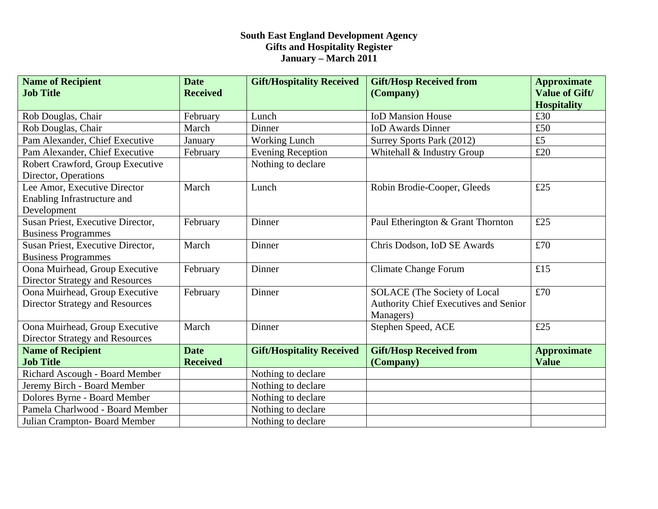## **South East England Development Agency Gifts and Hospitality Register January – March 2011**

| <b>Name of Recipient</b><br><b>Job Title</b> | <b>Date</b><br><b>Received</b> | <b>Gift/Hospitality Received</b> | <b>Gift/Hosp Received from</b><br>(Company)  | <b>Approximate</b><br><b>Value of Gift/</b> |
|----------------------------------------------|--------------------------------|----------------------------------|----------------------------------------------|---------------------------------------------|
|                                              |                                |                                  |                                              | <b>Hospitality</b>                          |
| Rob Douglas, Chair                           | February                       | Lunch                            | <b>IoD Mansion House</b>                     | £30                                         |
| Rob Douglas, Chair                           | March                          | Dinner                           | <b>IoD Awards Dinner</b>                     | £50                                         |
| Pam Alexander, Chief Executive               | January                        | <b>Working Lunch</b>             | Surrey Sports Park (2012)                    | £5                                          |
| Pam Alexander, Chief Executive               | February                       | <b>Evening Reception</b>         | Whitehall & Industry Group                   | £20                                         |
| Robert Crawford, Group Executive             |                                | Nothing to declare               |                                              |                                             |
| Director, Operations                         |                                |                                  |                                              |                                             |
| Lee Amor, Executive Director                 | March                          | Lunch                            | Robin Brodie-Cooper, Gleeds                  | £25                                         |
| Enabling Infrastructure and                  |                                |                                  |                                              |                                             |
| Development                                  |                                |                                  |                                              |                                             |
| Susan Priest, Executive Director,            | February                       | Dinner                           | Paul Etherington & Grant Thornton            | £25                                         |
| <b>Business Programmes</b>                   |                                |                                  |                                              |                                             |
| Susan Priest, Executive Director,            | March                          | Dinner                           | Chris Dodson, IoD SE Awards                  | £70                                         |
| <b>Business Programmes</b>                   |                                |                                  |                                              |                                             |
| Oona Muirhead, Group Executive               | February                       | Dinner                           | <b>Climate Change Forum</b>                  | £15                                         |
| <b>Director Strategy and Resources</b>       |                                |                                  |                                              |                                             |
| Oona Muirhead, Group Executive               | February                       | Dinner                           | <b>SOLACE</b> (The Society of Local          | £70                                         |
| <b>Director Strategy and Resources</b>       |                                |                                  | <b>Authority Chief Executives and Senior</b> |                                             |
|                                              |                                |                                  | Managers)                                    |                                             |
| Oona Muirhead, Group Executive               | March                          | Dinner                           | Stephen Speed, ACE                           | £25                                         |
| <b>Director Strategy and Resources</b>       |                                |                                  |                                              |                                             |
| <b>Name of Recipient</b>                     | <b>Date</b>                    | <b>Gift/Hospitality Received</b> | <b>Gift/Hosp Received from</b>               | <b>Approximate</b>                          |
| <b>Job Title</b>                             | <b>Received</b>                |                                  | (Company)                                    | <b>Value</b>                                |
| Richard Ascough - Board Member               |                                | Nothing to declare               |                                              |                                             |
| Jeremy Birch - Board Member                  |                                | Nothing to declare               |                                              |                                             |
| Dolores Byrne - Board Member                 |                                | Nothing to declare               |                                              |                                             |
| Pamela Charlwood - Board Member              |                                | Nothing to declare               |                                              |                                             |
| Julian Crampton-Board Member                 |                                | Nothing to declare               |                                              |                                             |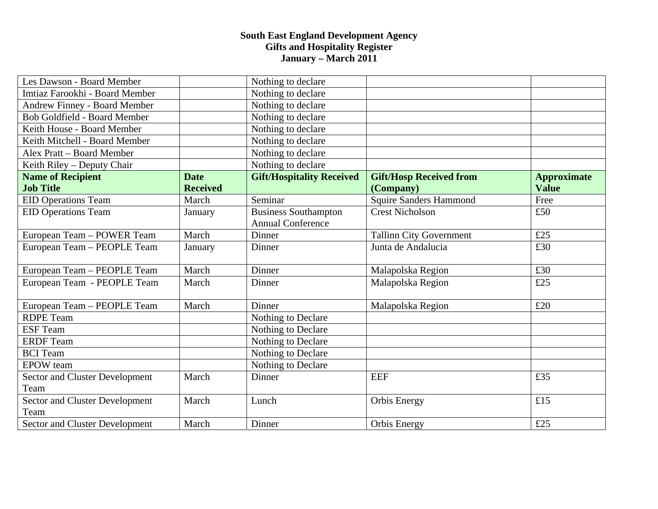## **South East England Development Agency Gifts and Hospitality Register January – March 2011**

| Les Dawson - Board Member             |                 | Nothing to declare               |                                |                    |
|---------------------------------------|-----------------|----------------------------------|--------------------------------|--------------------|
| Imtiaz Farookhi - Board Member        |                 | Nothing to declare               |                                |                    |
| <b>Andrew Finney - Board Member</b>   |                 | Nothing to declare               |                                |                    |
| <b>Bob Goldfield - Board Member</b>   |                 | Nothing to declare               |                                |                    |
| Keith House - Board Member            |                 | Nothing to declare               |                                |                    |
| Keith Mitchell - Board Member         |                 | Nothing to declare               |                                |                    |
| Alex Pratt - Board Member             |                 | Nothing to declare               |                                |                    |
| Keith Riley - Deputy Chair            |                 | Nothing to declare               |                                |                    |
| <b>Name of Recipient</b>              | <b>Date</b>     | <b>Gift/Hospitality Received</b> | <b>Gift/Hosp Received from</b> | <b>Approximate</b> |
| <b>Job Title</b>                      | <b>Received</b> |                                  | (Company)                      | <b>Value</b>       |
| <b>EID Operations Team</b>            | March           | Seminar                          | <b>Squire Sanders Hammond</b>  | Free               |
| <b>EID Operations Team</b>            | January         | <b>Business Southampton</b>      | <b>Crest Nicholson</b>         | £50                |
|                                       |                 | <b>Annual Conference</b>         |                                |                    |
| European Team - POWER Team            | March           | Dinner                           | <b>Tallinn City Government</b> | £25                |
| European Team - PEOPLE Team           | January         | Dinner                           | Junta de Andalucia             | £30                |
|                                       |                 |                                  |                                |                    |
| European Team - PEOPLE Team           | March           | Dinner                           | Malapolska Region              | £30                |
| European Team - PEOPLE Team           | March           | Dinner                           | Malapolska Region              | £25                |
|                                       |                 |                                  |                                |                    |
| European Team - PEOPLE Team           | March           | Dinner                           | Malapolska Region              | £20                |
| <b>RDPE</b> Team                      |                 | Nothing to Declare               |                                |                    |
| <b>ESF</b> Team                       |                 | Nothing to Declare               |                                |                    |
| <b>ERDF</b> Team                      |                 | Nothing to Declare               |                                |                    |
| <b>BCI</b> Team                       |                 | Nothing to Declare               |                                |                    |
| <b>EPOW</b> team                      |                 | Nothing to Declare               |                                |                    |
| <b>Sector and Cluster Development</b> | March           | Dinner                           | <b>EEF</b>                     | £35                |
| Team                                  |                 |                                  |                                |                    |
| <b>Sector and Cluster Development</b> | March           | Lunch                            | <b>Orbis Energy</b>            | £15                |
| Team                                  |                 |                                  |                                |                    |
| <b>Sector and Cluster Development</b> | March           | Dinner                           | Orbis Energy                   | £25                |